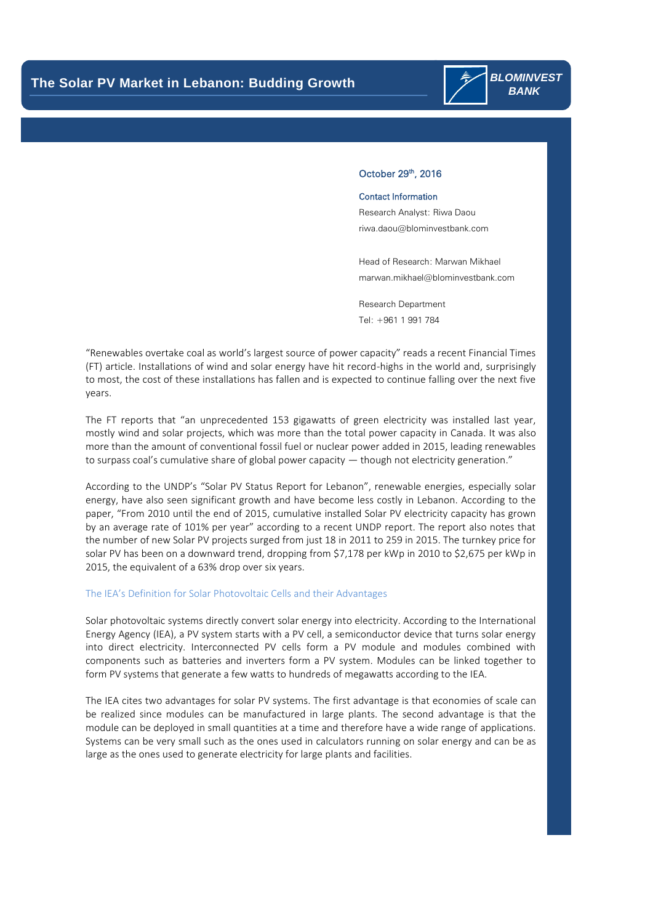

## October 29<sup>th</sup>, 2016

### Contact Information

Research Analyst: Riwa Daou [riwa.daou@blominvestbank.com](mailto:riwa.daou@blominvestbank.com)

Head of Research: Marwan Mikhael [marwan.mikhael@blominvestbank.com](mailto:marwan.mikhael@blominvestbank.com)

Research Department Tel: +961 1 991 784

"Renewables overtake coal as world's largest source of power capacity" reads a recent Financial Times (FT) article. Installations of wind and solar energy have hit record-highs in the world and, surprisingly to most, the cost of these installations has fallen and is expected to continue falling over the next five years.

The FT reports that "an unprecedented 153 gigawatts of green electricity was installed last year, mostly wind and solar projects, which was more than the total power capacity in Canada. It was also more than the amount of conventional fossil fuel or nuclear power added in 2015, leading renewables to surpass coal's cumulative share of global power capacity — though not electricity generation."

According to the UNDP's "Solar PV Status Report for Lebanon", renewable energies, especially solar energy, have also seen significant growth and have become less costly in Lebanon. According to the paper, "From 2010 until the end of 2015, cumulative installed Solar PV electricity capacity has grown by an average rate of 101% per year" according to a recent UNDP report. The report also notes that the number of new Solar PV projects surged from just 18 in 2011 to 259 in 2015. The turnkey price for solar PV has been on a downward trend, dropping from \$7,178 per kWp in 2010 to \$2,675 per kWp in 2015, the equivalent of a 63% drop over six years.

#### The IEA's Definition for Solar Photovoltaic Cells and their Advantages

Solar photovoltaic systems directly convert solar energy into electricity. According to the International Energy Agency (IEA), a PV system starts with a PV cell, a semiconductor device that turns solar energy into direct electricity. Interconnected PV cells form a PV module and modules combined with components such as batteries and inverters form a PV system. Modules can be linked together to form PV systems that generate a few watts to hundreds of megawatts according to the IEA.

The IEA cites two advantages for solar PV systems. The first advantage is that economies of scale can be realized since modules can be manufactured in large plants. The second advantage is that the module can be deployed in small quantities at a time and therefore have a wide range of applications. Systems can be very small such as the ones used in calculators running on solar energy and can be as large as the ones used to generate electricity for large plants and facilities.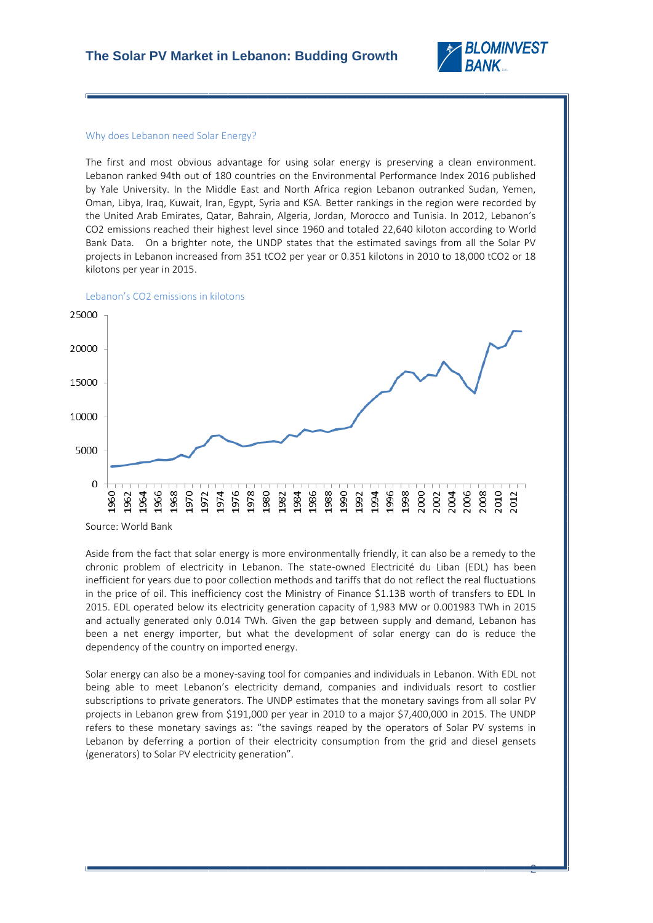

### Why does Lebanon need Solar Energy?

l,

The first and most obvious advantage for using solar energy is preserving a clean environment. Lebanon ranked 94th out of 180 countries on the Environmental Performance Index 2016 published by Yale University. In the Middle East and North Africa region Lebanon outranked Sudan, Yemen, Oman, Libya, Iraq, Kuwait, Iran, Egypt, Syria and KSA. Better rankings in the region were recorded by the United Arab Emirates, Qatar, Bahrain, Algeria, Jordan, Morocco and Tunisia. In 2012, Lebanon's CO2 emissions reached their highest level since 1960 and totaled 22,640 kiloton according to World Bank Data. On a brighter note, the UNDP states that the estimated savings from all the Solar PV projects in Lebanon increased from 351 tCO2 per year or 0.351 kilotons in 2010 to 18,000 tCO2 or 18 kilotons per year in 2015.



Source: World Bank

Aside from the fact that solar energy is more environmentally friendly, it can also be a remedy to the chronic problem of electricity in Lebanon. The state-owned Electricité du Liban (EDL) has been inefficient for years due to poor collection methods and tariffs that do not reflect the real fluctuations in the price of oil. This inefficiency cost the Ministry of Finance \$1.13B worth of transfers to EDL In 2015. EDL operated below its electricity generation capacity of 1,983 MW or 0.001983 TWh in 2015 and actually generated only 0.014 TWh. Given the gap between supply and demand, Lebanon has been a net energy importer, but what the development of solar energy can do is reduce the dependency of the country on imported energy.

Solar energy can also be a money-saving tool for companies and individuals in Lebanon. With EDL not being able to meet Lebanon's electricity demand, companies and individuals resort to costlier subscriptions to private generators. The UNDP estimates that the monetary savings from all solar PV projects in Lebanon grew from \$191,000 per year in 2010 to a major \$7,400,000 in 2015. The UNDP refers to these monetary savings as: "the savings reaped by the operators of Solar PV systems in Lebanon by deferring a portion of their electricity consumption from the grid and diesel gensets (generators) to Solar PV electricity generation".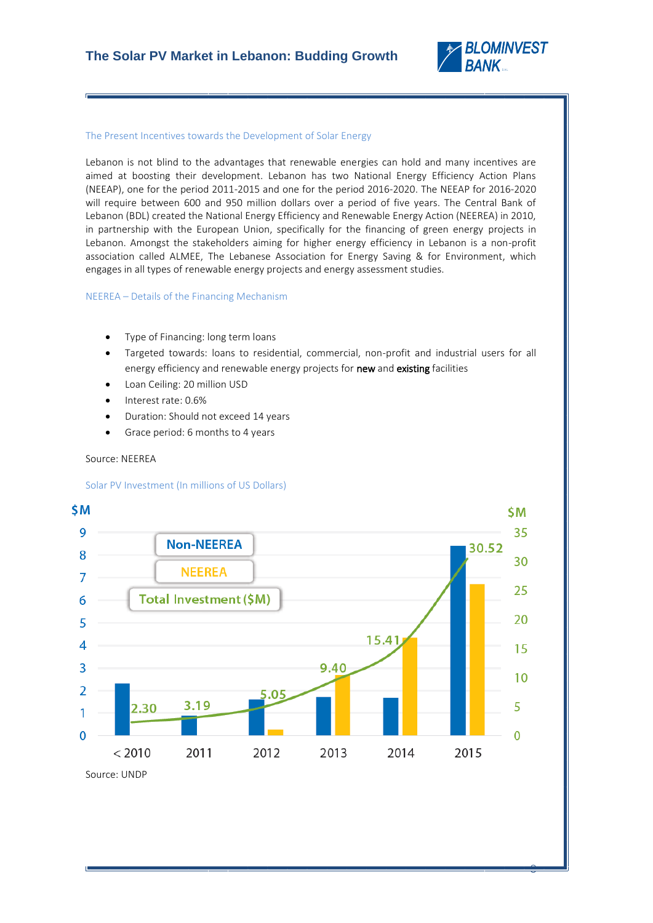

## The Present Incentives towards the Development of Solar Energy

Lebanon is not blind to the advantages that renewable energies can hold and many incentives are aimed at boosting their development. Lebanon has two National Energy Efficiency Action Plans (NEEAP), one for the period 2011-2015 and one for the period 2016-2020. The NEEAP for 2016-2020 will require between 600 and 950 million dollars over a period of five years. The Central Bank of Lebanon (BDL) created the National Energy Efficiency and Renewable Energy Action (NEEREA) in 2010, in partnership with the European Union, specifically for the financing of green energy projects in Lebanon. Amongst the stakeholders aiming for higher energy efficiency in Lebanon is a non-profit association called ALMEE, The Lebanese Association for Energy Saving & for Environment, which engages in all types of renewable energy projects and energy assessment studies.

NEEREA – Details of the Financing Mechanism

- Type of Financing: long term loans
- Targeted towards: loans to residential, commercial, non-profit and industrial users for all energy efficiency and renewable energy projects for **new** and **existing** facilities
- Loan Ceiling: 20 million USD
- Interest rate: 0.6%
- Duration: Should not exceed 14 years
- Grace period: 6 months to 4 years

## Source: NEEREA

l,

## Solar PV Investment (In millions of US Dollars)



Source: UNDP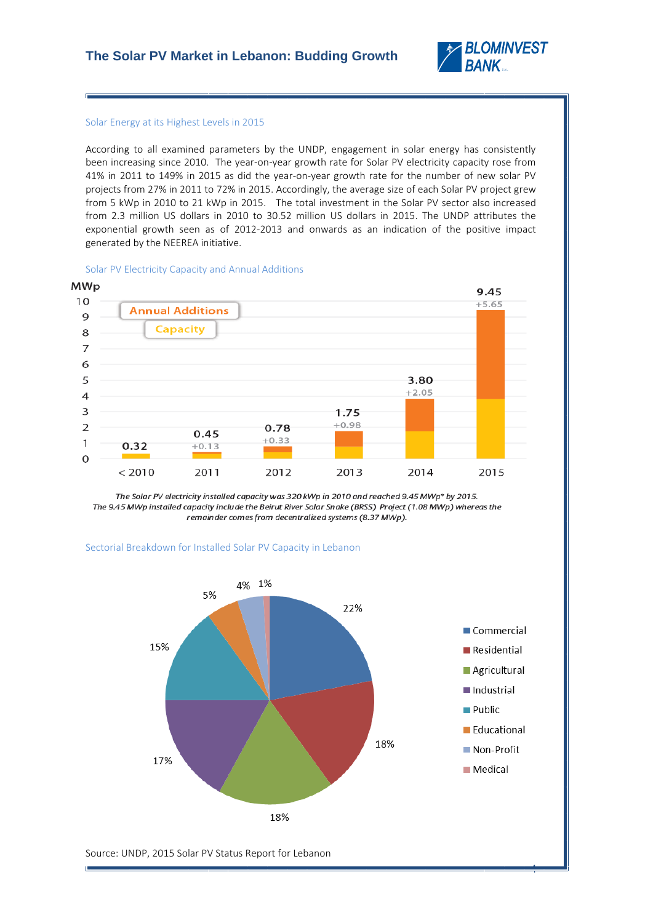

#### Solar Energy at its Highest Levels in 2015

l,

According to all examined parameters by the UNDP, engagement in solar energy has consistently been increasing since 2010. The year-on-year growth rate for Solar PV electricity capacity rose from 41% in 2011 to 149% in 2015 as did the year-on-year growth rate for the number of new solar PV projects from 27% in 2011 to 72% in 2015. Accordingly, the average size of each Solar PV project grew from 5 kWp in 2010 to 21 kWp in 2015. The total investment in the Solar PV sector also increased from 2.3 million US dollars in 2010 to 30.52 million US dollars in 2015. The UNDP attributes the exponential growth seen as of 2012-2013 and onwards as an indication of the positive impact generated by the NEEREA initiative.





The Solar PV electricity installed capacity was 320 kWp in 2010 and reached 9.45 MWp\* by 2015. The 9.45 MWp installed capacity include the Beirut River Solar Snake (BRSS) Project (1.08 MWp) whereas the remainder comes from decentralized systems (8.37 MWp).





Source: UNDP, 2015 Solar PV Status Report for Lebanon